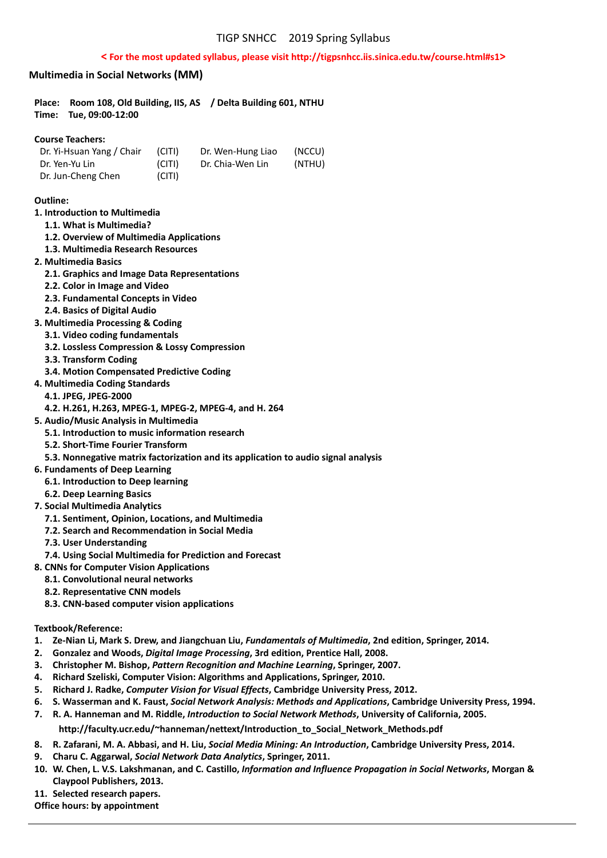## **< For the most updated syllabus, please visit http://tigpsnhcc.iis.sinica.edu.tw/course.html#s1>**

## **Multimedia in Social Networks (MM)**

| Place:<br>Tue, 09:00-12:00<br>Time:                                                                                                                                                                                                                                                                    |  |        | Room 108, Old Building, IIS, AS / Delta Building 601, NTHU |        |  |
|--------------------------------------------------------------------------------------------------------------------------------------------------------------------------------------------------------------------------------------------------------------------------------------------------------|--|--------|------------------------------------------------------------|--------|--|
| <b>Course Teachers:</b>                                                                                                                                                                                                                                                                                |  |        |                                                            |        |  |
| Dr. Yi-Hsuan Yang / Chair                                                                                                                                                                                                                                                                              |  | (CITI) | Dr. Wen-Hung Liao                                          | (NCCU) |  |
| Dr. Yen-Yu Lin                                                                                                                                                                                                                                                                                         |  | (CITI) | Dr. Chia-Wen Lin                                           | (NTHU) |  |
| Dr. Jun-Cheng Chen                                                                                                                                                                                                                                                                                     |  | (CITI) |                                                            |        |  |
| Outline:<br>1. Introduction to Multimedia<br>1.1. What is Multimedia?<br>1.2. Overview of Multimedia Applications<br>1.3. Multimedia Research Resources<br>2. Multimedia Basics<br>2.1. Graphics and Image Data Representations<br>2.2. Color in Image and Video<br>2.3. Fundamental Concepts in Video |  |        |                                                            |        |  |
| 2.4. Basics of Digital Audio                                                                                                                                                                                                                                                                           |  |        |                                                            |        |  |
|                                                                                                                                                                                                                                                                                                        |  |        |                                                            |        |  |

- **3. Multimedia Processing & Coding**
- **3.1. Video coding fundamentals**
- **3.2. Lossless Compression & Lossy Compression**
- **3.3. Transform Coding**
- **3.4. Motion Compensated Predictive Coding**
- **4. Multimedia Coding Standards** 
	- **4.1. JPEG, JPEG‐2000**
	- **4.2. H.261, H.263, MPEG‐1, MPEG‐2, MPEG‐4, and H. 264**
- **5. Audio/Music Analysis in Multimedia** 
	- **5.1. Introduction to music information research**
	- **5.2. Short‐Time Fourier Transform**
	- **5.3. Nonnegative matrix factorization and its application to audio signal analysis**
- **6. Fundaments of Deep Learning** 
	- **6.1. Introduction to Deep learning**
- **6.2. Deep Learning Basics**
- **7. Social Multimedia Analytics** 
	- **7.1. Sentiment, Opinion, Locations, and Multimedia**
	- **7.2. Search and Recommendation in Social Media**
	- **7.3. User Understanding**
- **7.4. Using Social Multimedia for Prediction and Forecast**
- **8. CNNs for Computer Vision Applications** 
	- **8.1. Convolutional neural networks**
	- **8.2. Representative CNN models**
	- **8.3. CNN‐based computer vision applications**

## **Textbook/Reference:**

- **1. Ze‐Nian Li, Mark S. Drew, and Jiangchuan Liu,** *Fundamentals of Multimedia***, 2nd edition, Springer, 2014.**
- **2. Gonzalez and Woods,** *Digital Image Processing***, 3rd edition, Prentice Hall, 2008.**
- **3. Christopher M. Bishop,** *Pattern Recognition and Machine Learning***, Springer, 2007.**
- **4. Richard Szeliski, Computer Vision: Algorithms and Applications, Springer, 2010.**
- **5. Richard J. Radke,** *Computer Vision for Visual Effects***, Cambridge University Press, 2012.**
- **6. S. Wasserman and K. Faust,** *Social Network Analysis: Methods and Applications***, Cambridge University Press, 1994.**
- **7. R. A. Hanneman and M. Riddle,** *Introduction to Social Network Methods***, University of California, 2005.**

## **http://faculty.ucr.edu/~hanneman/nettext/Introduction\_to\_Social\_Network\_Methods.pdf**

- **8. R. Zafarani, M. A. Abbasi, and H. Liu,** *Social Media Mining: An Introduction***, Cambridge University Press, 2014.**
- **9. Charu C. Aggarwal,** *Social Network Data Analytics***, Springer, 2011.**
- **10. W. Chen, L. V.S. Lakshmanan, and C. Castillo,** *Information and Influence Propagation in Social Networks***, Morgan & Claypool Publishers, 2013.**
- 11. Selected research papers.

**Office hours: by appointment**